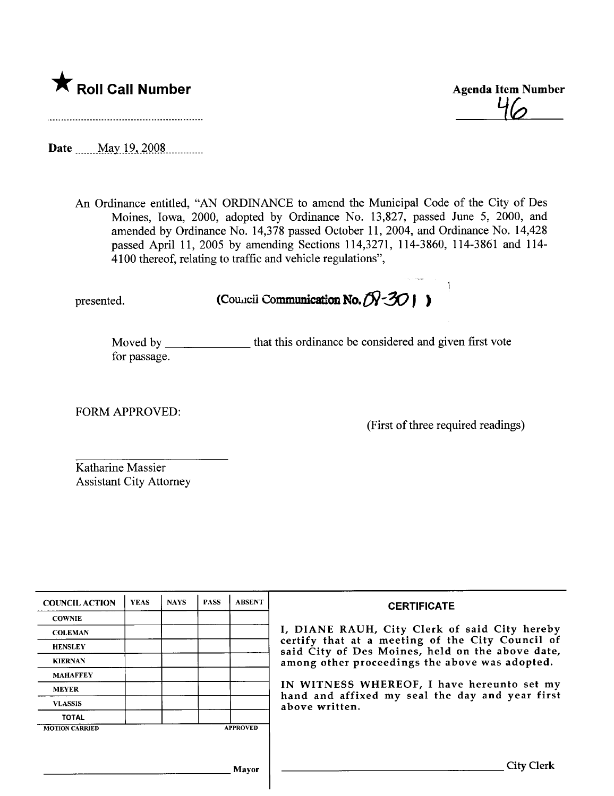# \* Roll Call Number Agenda Item Number

46

Date May 19, 2008

An Ordinance entitled, "AN ORDINANCE to amend the Municipal Code of the City of Des Moines, Iowa, 2000, adopted by Ordinance No. 13,827, passed June 5, 2000, and amended by Ordinance No. 14,378 passed October 11, 2004, and Ordinance No. 14,428 passed April 11, 2005 by amending Sections 114,3271, 114-3860, 114-3861 and 114- 4100 thereof, relating to traffic and vehicle regulations",

presented. (Council Communication No. $(N-30)$ )

Moved by \_\_\_\_\_\_\_\_\_\_\_\_\_\_\_ that this ordinance be considered and given first vote for passage.

FORM APPROVED:

(First of three required readings)

Katharine Massier Assistant City Attorney

| <b>COUNCIL ACTION</b>                    | <b>YEAS</b> | <b>NAYS</b> | <b>PASS</b> | <b>ABSENT</b> | <b>CERTIFICATE</b>                                                                                                                                                                                                                                                                                                         |
|------------------------------------------|-------------|-------------|-------------|---------------|----------------------------------------------------------------------------------------------------------------------------------------------------------------------------------------------------------------------------------------------------------------------------------------------------------------------------|
| <b>COWNIE</b>                            |             |             |             |               | I, DIANE RAUH, City Clerk of said City hereby<br>certify that at a meeting of the City Council of<br>said City of Des Moines, held on the above date,<br>among other proceedings the above was adopted.<br>IN WITNESS WHEREOF, I have hereunto set my<br>hand and affixed my seal the day and year first<br>above written. |
| <b>COLEMAN</b>                           |             |             |             |               |                                                                                                                                                                                                                                                                                                                            |
| <b>HENSLEY</b>                           |             |             |             |               |                                                                                                                                                                                                                                                                                                                            |
| <b>KIERNAN</b>                           |             |             |             |               |                                                                                                                                                                                                                                                                                                                            |
| <b>MAHAFFEY</b>                          |             |             |             |               |                                                                                                                                                                                                                                                                                                                            |
| <b>MEYER</b>                             |             |             |             |               |                                                                                                                                                                                                                                                                                                                            |
| <b>VLASSIS</b>                           |             |             |             |               |                                                                                                                                                                                                                                                                                                                            |
| <b>TOTAL</b>                             |             |             |             |               |                                                                                                                                                                                                                                                                                                                            |
| <b>APPROVED</b><br><b>MOTION CARRIED</b> |             |             |             |               |                                                                                                                                                                                                                                                                                                                            |
|                                          |             |             |             |               |                                                                                                                                                                                                                                                                                                                            |
|                                          |             |             |             | Mayor         | <b>City Clerk</b>                                                                                                                                                                                                                                                                                                          |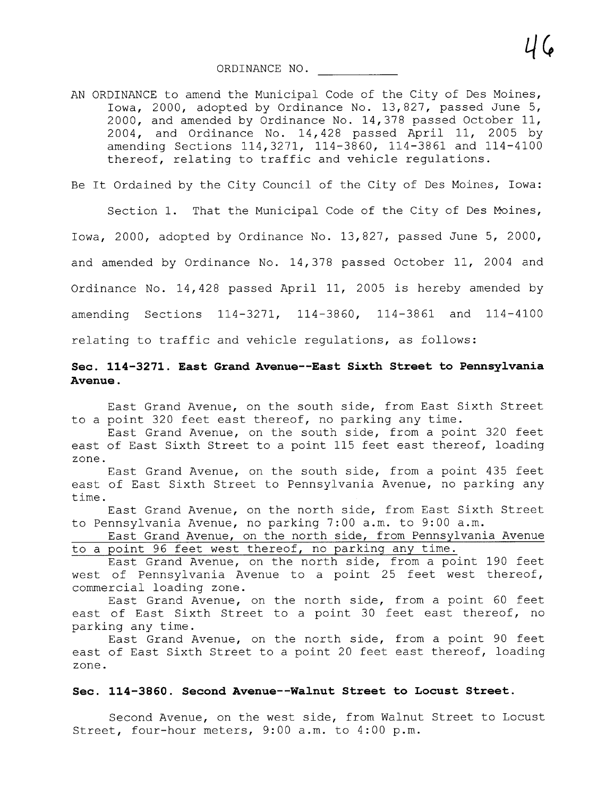AN ORDINANCE to amend the Municipal Code of the City of Des Moines, Iowa, 2000, adopted by Ordinance No. 13,827, passed June 5, 2000, and amended by Ordinance No. 14,378 passed October 11, 2004, and Ordinance No. 14,428 passed April 11, 2005 by amending Sections 114,3271, 114-3860, 114-3861 and 114-4100 thereof, relating to traffic and vehicle regulations.

Be It Ordained by the City Council of the City of Des Moines, Iowa:

Section 1. That the Municipal Code of the City of Des Moines,

Iowa, 2000, adopted by Ordinance No. 13,827, passed June 5, 2000,

and amended by Ordinance No. 14,378 passed October 11, 2004 and

Ordinance No. 14,428 passed April 11, 2005 is hereby amended by

amending Sections 114-3271, 114-3860, 114-3861 and 114-4100

relating to traffic and vehicle regulations, as follows:

## Sec. 114-3271. East Grand Avenue--East Sixth Street to Pennsylvania Avenue.

East Grand Avenue, on the south side, from East Sixth Street to a point 320 feet east thereof, no parking any time.

East Grand Avenue, on the south side, from a point 320 feet east of East Sixth Street to a point 115 feet east thereof, loading zone.

East Grand Avenue, on the south side, from a point 435 feet east of East Sixth Street to Pennsylvania Avenue, no parking any time.

East Grand Avenue, on the north side, from East Sixth Street to Pennsylvania Avenue, no parking 7:00 a.m. to 9:00 a.m.

East Grand Avenue, on the north side, from Pennsylvania Avenue to a point 96 feet west thereof, no parking any time.

East Grand Avenue, on the north side, from a point 190 feet west of Pennsylvania Avenue to a point 25 feet west thereof, commercial loading zone.

East Grand Avenue, on the north side, from a point 60 feet east of East Sixth Street to a point 30 feet east thereof, no parking any time.

East Grand Avenue, on the north side, from a point 90 feet east of East Sixth Street to a point 20 feet east thereof, loading zone.

#### Sec. 114-3860. Second Avenue--Walnut Street to Locust Street.

Second Avenue, on the west side, from Walnut Street to Locust Street, four-hour meters, 9:00 a.m. to 4:00 p.m.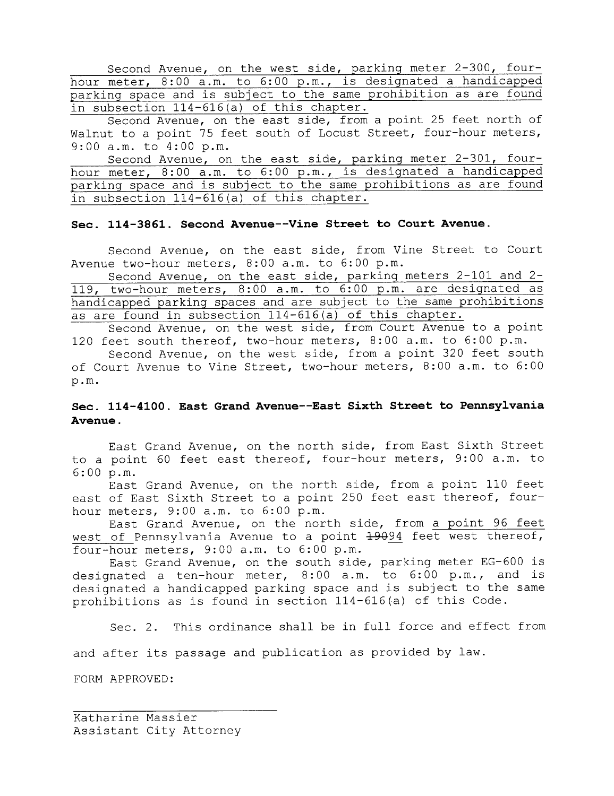Second Avenue, on the west side, parking meter 2-300, fourhour meter, 8:00 a.m. to 6:00 p.m., is designated a handicapped parking space and is subject to the same prohibition as are found in subsection 114-616(a) of this chapter.

Second Avenue, on the east side, from a point 25 feet north of Walnut to a point 75 feet south of Locust Street, four-hour meters, 9:00 a.m. to 4:00 p.m.

Second Avenue, on the east side, parking meter 2-301, fourhour meter, 8:00 a.m. to 6:00 p.m., is designated a handicapped parking space and is subject to the same prohibitions as are found in subsection 114-616 (a) of this chapter.

#### Sec. 114-3861. Second Avenue--Vine Street to Court Avenue.

Second Avenue, on the east side, from Vine Street to Court Avenue two-hour meters, 8:00 a.m. to 6:00 p.m.

Second Avenue, on the east side, parking meters 2-101 and 2- 119, two-hour meters, 8:00 a.m. to 6:00 p.m. are designated as handicapped parking spaces and are subject to the same prohibitions as are found in subsection 114-616 (a) of this chapter.

Second Avenue, on the west side, from Court Avenue to a point 120 feet south thereof, two-hour meters, 8:00 a.m. to 6:00 p.m.

Second Avenue, on the west side, from a point 320 feet south of Court Avenue to Vine Street, two-hour meters, 8: 00 a. m. to 6: 00 p.m.

### Sec. 114-4100. East Grand Avenue--East Sixth Street to Pennsylvania Avenue.

East Grand Avenue, on the north side, from East Sixth Street to a point 60 feet east thereof, four-hour meters, 9: 00 a.m. to 6:00 p.m.

East Grand Avenue, on the north side, from a point 110 feet east of East Sixth Street to a point 250 feet east thereof, fourhour meters, 9:00 a.m. to 6:00 p.m.

East Grand Avenue, on the north side, from a point 96 feet west of Pennsylvania Avenue to a point  $\frac{19094}{1000}$  feet west thereof, four-hour meters, 9:00 a.m. to 6:00 p.m.

East Grand Avenue, on the south side, parking meter EG-600 is designated a ten-hour meter, 8:00 a.m. to 6:00 p.m., and is designated a handicapped parking space and is subject to the same prohibitions as is found in section 114-616 (a) of this Code.

Sec. 2. This ordinance shall be in full force and effect from

and after its passage and publication as provided by law.

FORM APPROVED:

Katharine Massier Assistant City Attorney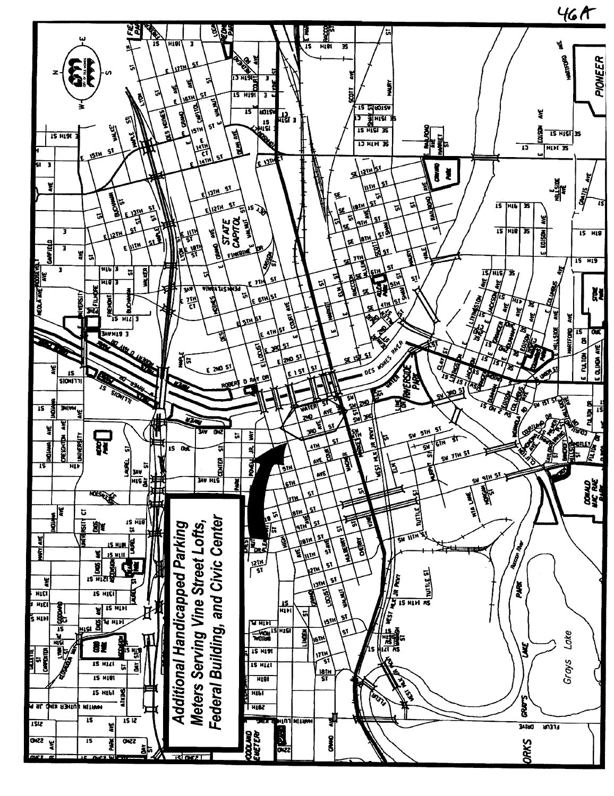